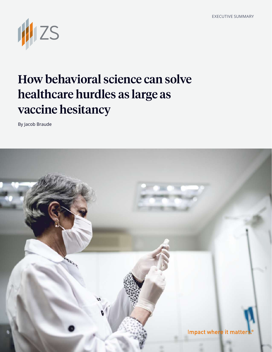

# How behavioral science can solve healthcare hurdles as large as vaccine hesitancy

By Jacob Braude

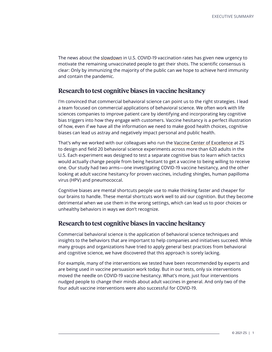The news about the [slowdown](https://www.nytimes.com/2021/04/21/us/politics/coronavirus-vaccine-rates.html) in U.S. COVID-19 vaccination rates has given new urgency to motivate the remaining unvaccinated people to get their shots. The scientific consensus is clear: Only by immunizing the majority of the public can we hope to achieve herd immunity and contain the pandemic.

## Research to test cognitive biases in vaccine hesitancy

I'm convinced that commercial behavioral science can point us to the right strategies. I lead a team focused on commercial applications of behavioral science. We often work with life sciences companies to improve patient care by identifying and incorporating key cognitive bias triggers into how they engage with customers. Vaccine hesitancy is a perfect illustration of how, even if we have all the information we need to make good health choices, cognitive biases can lead us astray and negatively impact personal and public health.

That's why we worked with our colleagues who run the [Vaccine Center of Excellence](https://www.zs.com/insights/how-covid19-variants-impact-treatments-and-vaccines) at ZS to design and field 20 behavioral science experiments across more than 620 adults in the U.S. Each experiment was designed to test a separate cognitive bias to learn which tactics would actually change people from being hesitant to get a vaccine to being willing to receive one. Our study had two arms—one investigating COVID-19 vaccine hesitancy, and the other looking at adult vaccine hesitancy for proven vaccines, including shingles, human papilloma virus (HPV) and pneumococcal.

Cognitive biases are mental shortcuts people use to make thinking faster and cheaper for our brains to handle. These mental shortcuts work well to aid our cognition. But they become detrimental when we use them in the wrong settings, which can lead us to poor choices or unhealthy behaviors in ways we don't recognize.

## Research to test cognitive biases in vaccine hesitancy

Commercial behavioral science is the application of behavioral science techniques and insights to the behaviors that are important to help companies and initiatives succeed. While many groups and organizations have tried to apply general best practices from behavioral and cognitive science, we have discovered that this approach is sorely lacking.

For example, many of the interventions we tested have been recommended by experts and are being used in vaccine persuasion work today. But in our tests, only six interventions moved the needle on COVID-19 vaccine hesitancy. What's more, just four interventions nudged people to change their minds about adult vaccines in general. And only two of the four adult vaccine interventions were also successful for COVID-19.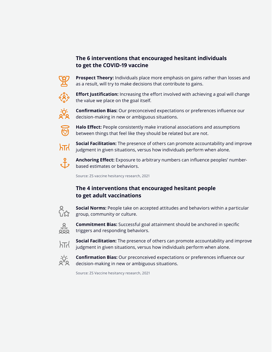## **The 6 interventions that encouraged hesitant individuals to get the COVID-19 vaccine**



**Prospect Theory:** Individuals place more emphasis on gains rather than losses and as a result, will try to make decisions that contribute to gains.



**Effort Justification:** Increasing the effort involved with achieving a goal will change the value we place on the goal itself.



**Confirmation Bias:** Our preconceived expectations or preferences influence our decision-making in new or ambiguous situations.



**Halo Effect:** People consistently make irrational associations and assumptions between things that feel like they should be related but are not.



**Social Facilitation:** The presence of others can promote accountability and improve judgment in given situations, versus how individuals perform when alone.



**Anchoring Effect:** Exposure to arbitrary numbers can influence peoples' numberbased estimates or behaviors.

Source: ZS vaccine hesitancy research, 2021

## **The 4 interventions that encouraged hesitant people to get adult vaccinations**



**Social Norms:** People take on accepted attitudes and behaviors within a particular group, community or culture.



**Commitment Bias:** Successful goal attainment should be anchored in specific triggers and responding behaviors.



**Social Facilitation:** The presence of others can promote accountability and improve judgment in given situations, versus how individuals perform when alone.



**Confirmation Bias:** Our preconceived expectations or preferences influence our decision-making in new or ambiguous situations.

Source: ZS Vaccine hesitancy research, 2021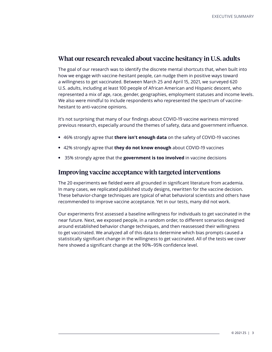## What our research revealed about vaccine hesitancy in U.S. adults

The goal of our research was to identify the discrete mental shortcuts that, when built into how we engage with vaccine-hesitant people, can nudge them in positive ways toward a willingness to get vaccinated. Between March 25 and April 15, 2021, we surveyed 620 U.S. adults, including at least 100 people of African American and Hispanic descent, who represented a mix of age, race, gender, geographies, employment statuses and income levels. We also were mindful to include respondents who represented the spectrum of vaccinehesitant to anti-vaccine opinions.

It's not surprising that many of our findings about COVID-19 vaccine wariness mirrored previous research, especially around the themes of safety, data and government influence.

- **•** 46% strongly agree that **there isn't enough data** on the safety of COVID-19 vaccines
- **•** 42% strongly agree that **they do not know enough** about COVID-19 vaccines
- **•** 35% strongly agree that the **government is too involved** in vaccine decisions

## Improving vaccine acceptance with targeted interventions

The 20 experiments we fielded were all grounded in significant literature from academia. In many cases, we replicated published study designs, rewritten for the vaccine decision. These behavior-change techniques are typical of what behavioral scientists and others have recommended to improve vaccine acceptance. Yet in our tests, many did not work.

Our experiments first assessed a baseline willingness for individuals to get vaccinated in the near future. Next, we exposed people, in a random order, to different scenarios designed around established behavior change techniques, and then reassessed their willingness to get vaccinated. We analyzed all of this data to determine which bias prompts caused a statistically significant change in the willingness to get vaccinated. All of the tests we cover here showed a significant change at the 90%–95% confidence level.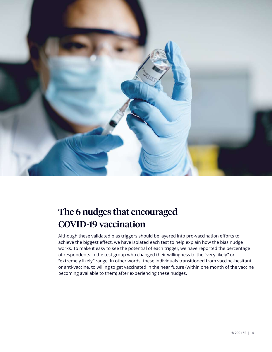

## The 6 nudges that encouraged COVID-19 vaccination

Although these validated bias triggers should be layered into pro-vaccination efforts to achieve the biggest effect, we have isolated each test to help explain how the bias nudge works. To make it easy to see the potential of each trigger, we have reported the percentage of respondents in the test group who changed their willingness to the "very likely" or "extremely likely" range. In other words, these individuals transitioned from vaccine-hesitant or anti-vaccine, to willing to get vaccinated in the near future (within one month of the vaccine becoming available to them) after experiencing these nudges.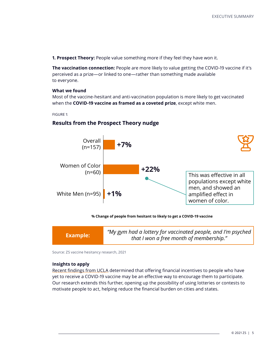**1. Prospect Theory:** People value something more if they feel they have won it.

**The vaccination connection:** People are more likely to value getting the COVID-19 vaccine if it's perceived as a prize—or linked to one—rather than something made available to everyone.

#### **What we found**

Most of the vaccine-hesitant and anti-vaccination population is more likely to get vaccinated when the **COVID-19 vaccine as framed as a coveted prize**, except white men.

FIGURE 1:

### **Results from the Prospect Theory nudge**



#### **% Change of people from hesitant to likely to get a COVID-19 vaccine**

| <b>Example:</b> | "My gym had a lottery for vaccinated people, and I'm psyched  <br>that I won a free month of membership." |
|-----------------|-----------------------------------------------------------------------------------------------------------|
|                 |                                                                                                           |

Source: ZS vaccine hesitancy research, 2021

#### **Insights to apply**

[Recent findings from UCLA](https://www.nytimes.com/2021/05/04/upshot/vaccine-incentive-experiment.html?referringSource=articleShare) determined that offering financial incentives to people who have yet to receive a COVID-19 vaccine may be an effective way to encourage them to participate. Our research extends this further, opening up the possibility of using lotteries or contests to motivate people to act, helping reduce the financial burden on cities and states.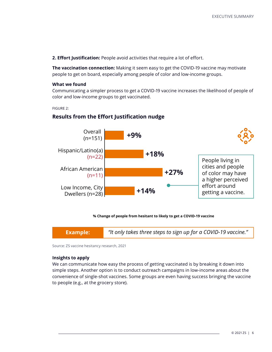**2. Effort Justification:** People avoid activities that require a lot of effort.

**The vaccination connection:** Making it seem easy to get the COVID-19 vaccine may motivate people to get on board, especially among people of color and low-income groups.

#### **What we found**

Communicating a simpler process to get a COVID-19 vaccine increases the likelihood of people of color and low-income groups to get vaccinated.

FIGURE 2:

## **Results from the Effort Justification nudge**



**% Change of people from hesitant to likely to get a COVID-19 vaccine** 

| <b>Example:</b> | "It only takes three steps to sign up for a COVID-19 vaccine." |
|-----------------|----------------------------------------------------------------|
|-----------------|----------------------------------------------------------------|

Source: ZS vaccine hesitancy research, 2021

#### **Insights to apply**

We can communicate how easy the process of getting vaccinated is by breaking it down into simple steps. Another option is to conduct outreach campaigns in low-income areas about the convenience of single-shot vaccines. Some groups are even having success bringing the vaccine to people (e.g., at the grocery store).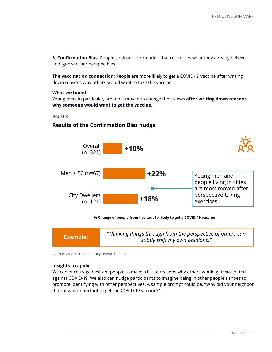**3. Confirmation Bias:** People seek out information that reinforces what they already believe and ignore other perspectives.

**The vaccination connection:** People are more likely to get a COVID-19 vaccine after writing down reasons why others would want to take the vaccine.

#### **What we found**

Young men, in particular, are most moved to change their views **after writing down reasons why someone would want to get the vaccine.**

FIGURE 3:

### **Results of the Confirmation Bias nudge**



#### **% Change of people from hesitant to likely to get a COVID-19 vaccine**

Source: ZS vaccine hesitancy research, 2021

#### **Insights to apply**

We can encourage hesitant people to make a list of reasons why others would get vaccinated against COVID-19. We also can nudge participants to imagine being in other people's shoes to promote identifying with other perspectives. A sample prompt could be, "Why did your neighbor think it was important to get the COVID-19 vaccine?"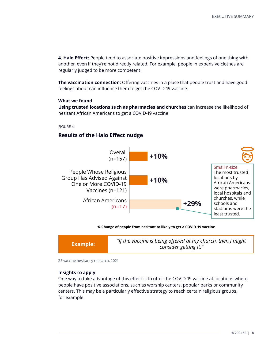**4. Halo Effect:** People tend to associate positive impressions and feelings of one thing with another, even if they're not directly related. For example, people in expensive clothes are regularly judged to be more competent.

**The vaccination connection:** Offering vaccines in a place that people trust and have good feelings about can influence them to get the COVID-19 vaccine.

#### **What we found**

**Using trusted locations such as pharmacies and churches** can increase the likelihood of hesitant African Americans to get a COVID-19 vaccine

FIGURE 4:

### **Results of the Halo Effect nudge**



**% Change of people from hesitant to likely to get a COVID-19 vaccine** 

| <b>Example:</b> | "If the vaccine is being offered at my church, then I might<br>consider getting it." |
|-----------------|--------------------------------------------------------------------------------------|
|-----------------|--------------------------------------------------------------------------------------|

ZS vaccine hesitancy research, 2021

#### **Insights to apply**

One way to take advantage of this effect is to offer the COVID-19 vaccine at locations where people have positive associations, such as worship centers, popular parks or community centers. This may be a particularly effective strategy to reach certain religious groups, for example.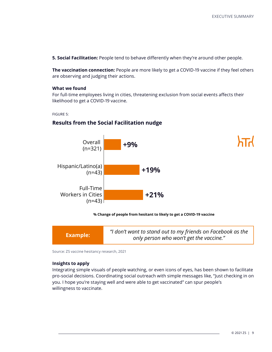**5. Social Facilitation:** People tend to behave differently when they're around other people.

**The vaccination connection:** People are more likely to get a COVID-19 vaccine if they feel others are observing and judging their actions.

#### **What we found**

For full-time employees living in cities, threatening exclusion from social events affects their likelihood to get a COVID-19 vaccine.

FIGURE 5:

## **Results from the Social Facilitation nudge**



#### **% Change of people from hesitant to likely to get a COVID-19 vaccine**

| <b>Example:</b> | "I don't want to stand out to my friends on Facebook as the |
|-----------------|-------------------------------------------------------------|
|                 | only person who won't get the vaccine."                     |

Source: ZS vaccine hesitancy research, 2021

#### **Insights to apply**

Integrating simple visuals of people watching, or even icons of eyes, has been shown to facilitate pro-social decisions. Coordinating social outreach with simple messages like, "Just checking in on you. I hope you're staying well and were able to get vaccinated" can spur people's willingness to vaccinate.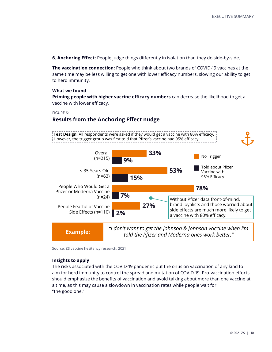**6. Anchoring Effect:** People judge things differently in isolation than they do side-by-side.

**The vaccination connection:** People who think about two brands of COVID-19 vaccines at the same time may be less willing to get one with lower efficacy numbers, slowing our ability to get to herd immunity.

#### **What we found**

**Priming people with higher vaccine efficacy numbers** can decrease the likelihood to get a vaccine with lower efficacy.

FIGURE 6:

### **Results from the Anchoring Effect nudge**

**Test Design:** All respondents were asked if they would get a vaccine with 80% efficacy. However, the trigger group was first told that Pfizer's vaccine had 95% efficacy.



Source: ZS vaccine hesitancy research, 2021

#### **Insights to apply**

The risks associated with the COVID-19 pandemic put the onus on vaccination of any kind to aim for herd immunity to control the spread and mutation of COVID-19. Pro-vaccination efforts should emphasize the benefits of vaccination and avoid talking about more than one vaccine at a time, as this may cause a slowdown in vaccination rates while people wait for "the good one."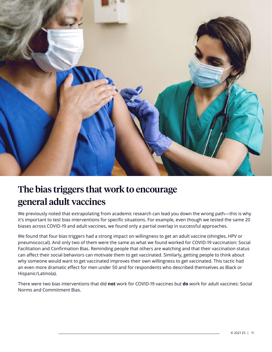

## The bias triggers that work to encourage general adult vaccines

We previously noted that extrapolating from academic research can lead you down the wrong path—this is why it's important to test bias interventions for specific situations. For example, even though we tested the same 20 biases across COVID-19 and adult vaccines, we found only a partial overlap in successful approaches.

We found that four bias triggers had a strong impact on willingness to get an adult vaccine (shingles, HPV or pneumococcal). And only two of them were the same as what we found worked for COVID-19 vaccination: Social Facilitation and Confirmation Bias. Reminding people that others are watching and that their vaccination status can affect their social behaviors can motivate them to get vaccinated. Similarly, getting people to think about why someone would want to get vaccinated improves their own willingness to get vaccinated. This tactic had an even more dramatic effect for men under 50 and for respondents who described themselves as Black or Hispanic/Latino(a).

There were two bias interventions that did **not** work for COVID-19 vaccines but **do** work for adult vaccines: Social Norms and Commitment Bias.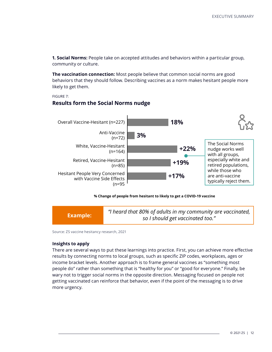**1. Social Norms:** People take on accepted attitudes and behaviors within a particular group, community or culture.

**The vaccination connection:** Most people believe that common social norms are good behaviors that they should follow. Describing vaccines as a norm makes hesitant people more likely to get them.

#### FIGURE 7:

#### **Results form the Social Norms nudge**



#### **% Change of people from hesitant to likely to get a COVID-19 vaccine**



Source: ZS vaccine hesitancy research, 2021

#### **Insights to apply**

There are several ways to put these learnings into practice. First, you can achieve more effective results by connecting norms to local groups, such as specific ZIP codes, workplaces, ages or income bracket levels. Another approach is to frame general vaccines as "something most people do" rather than something that is "healthy for you" or "good for everyone." Finally, be wary not to trigger social norms in the opposite direction. Messaging focused on people not getting vaccinated can reinforce that behavior, even if the point of the messaging is to drive more urgency.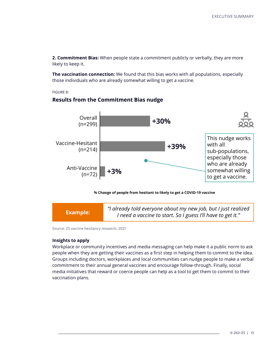**2. Commitment Bias:** When people state a commitment publicly or verbally, they are more likely to keep it.

**The vaccination connection:** We found that this bias works with all populations, especially those individuals who are already somewhat willing to get a vaccine.

FIGURE 8:

#### **Results from the Commitment Bias nudge**



#### **% Change of people from hesitant to likely to get a COVID-19 vaccine**



Source: ZS vaccine hesitancy research, 2021

#### **Insights to apply**

Workplace or community incentives and media messaging can help make it a public norm to ask people when they are getting their vaccines as a first step in helping them to commit to the idea. Groups including doctors, workplaces and local communities can nudge people to make a verbal commitment to their annual general vaccines and encourage follow-through. Finally, social media initiatives that reward or coerce people can help as a tool to get them to commit to their vaccination plans.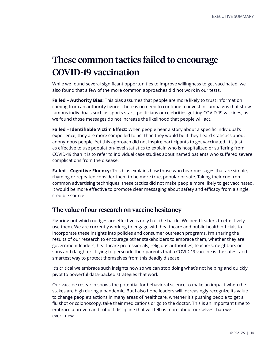## These common tactics failed to encourage COVID-19 vaccination

While we found several significant opportunities to improve willingness to get vaccinated, we also found that a few of the more common approaches did not work in our tests.

**Failed – Authority Bias:** This bias assumes that people are more likely to trust information coming from an authority figure. There is no need to continue to invest in campaigns that show famous individuals such as sports stars, politicians or celebrities getting COVID-19 vaccines, as we found those messages do not increase the likelihood that people will act.

**Failed – Identifiable Victim Effect:** When people hear a story about a specific individual's experience, they are more compelled to act than they would be if they heard statistics about anonymous people. Yet this approach did not inspire participants to get vaccinated. It's just as effective to use population-level statistics to explain who is hospitalized or suffering from COVID-19 than it is to refer to individual case studies about named patients who suffered severe complications from the disease.

**Failed – Cognitive Fluency:** This bias explains how those who hear messages that are simple, rhyming or repeated consider them to be more true, popular or safe. Taking their cue from common advertising techniques, these tactics did not make people more likely to get vaccinated. It would be more effective to promote clear messaging about safety and efficacy from a single, credible source.

## The value of our research on vaccine hesitancy

Figuring out which nudges are effective is only half the battle. We need leaders to effectively use them. We are currently working to engage with healthcare and public health officials to incorporate these insights into policies and consumer outreach programs. I'm sharing the results of our research to encourage other stakeholders to embrace them, whether they are government leaders, healthcare professionals, religious authorities, teachers, neighbors or sons and daughters trying to persuade their parents that a COVID-19 vaccine is the safest and smartest way to protect themselves from this deadly disease.

It's critical we embrace such insights now so we can stop doing what's not helping and quickly pivot to powerful data-backed strategies that work.

Our vaccine research shows the potential for behavioral science to make an impact when the stakes are high during a pandemic. But I also hope leaders will increasingly recognize its value to change people's actions in many areas of healthcare, whether it's pushing people to get a flu shot or colonoscopy, take their medications or go to the doctor. This is an important time to embrace a proven and robust discipline that will tell us more about ourselves than we ever knew.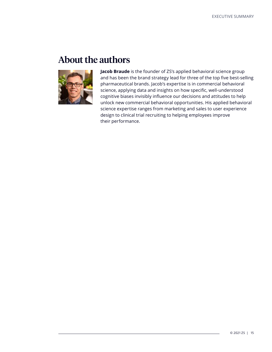## About the authors



**Jacob Braude** is the founder of ZS's applied behavioral science group and has been the brand strategy lead for three of the top five best-selling pharmaceutical brands. Jacob's expertise is in commercial behavioral science, applying data and insights on how specific, well-understood cognitive biases invisibly influence our decisions and attitudes to help unlock new commercial behavioral opportunities. His applied behavioral science expertise ranges from marketing and sales to user experience design to clinical trial recruiting to helping employees improve their performance.